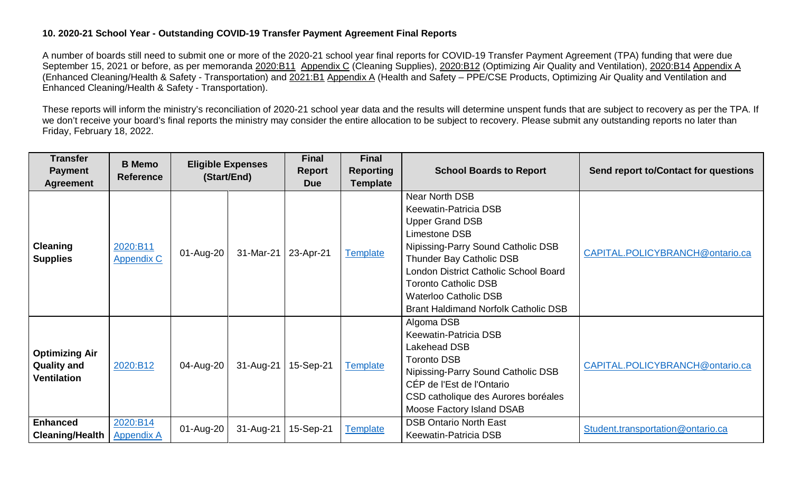## **10. 2020-21 School Year - Outstanding COVID-19 Transfer Payment Agreement Final Reports**

A number of boards still need to submit one or more of the 2020-21 school year final reports for COVID-19 Transfer Payment Agreement (TPA) funding that were due September 15, 2021 or before, as per memoranda [2020:B11](https://efis.fma.csc.gov.on.ca/faab/Memos/B2020/B11_EN.pdf) [Appendix C](https://efis.fma.csc.gov.on.ca/faab/Memos/B2020/B11_attach1_EN.pdf) (Cleaning Supplies), [2020:B12](https://efis.fma.csc.gov.on.ca/faab/Memos/B2020/B11_EN.pdf) (Optimizing Air Quality and Ventilation), [2020:B14](https://efis.fma.csc.gov.on.ca/faab/Memos/B2020/B14_EN.pdf) [Appendix A](https://efis.fma.csc.gov.on.ca/faab/Memos/B2020/B14_attach_EN.pdf) (Enhanced Cleaning/Health & Safety - Transportation) and [2021:B1](https://efis.fma.csc.gov.on.ca/faab/Memos/B2021/B01_EN.pdf) [Appendix A](https://efis.fma.csc.gov.on.ca/faab/Memos/B2021/B01_attach1_EN.pdf) (Health and Safety – PPE/CSE Products, Optimizing Air Quality and Ventilation and Enhanced Cleaning/Health & Safety - Transportation).

These reports will inform the ministry's reconciliation of 2020-21 school year data and the results will determine unspent funds that are subject to recovery as per the TPA. If we don't receive your board's final reports the ministry may consider the entire allocation to be subject to recovery. Please submit any outstanding reports no later than Friday, February 18, 2022.

| <b>Transfer</b><br><b>Payment</b><br><b>Agreement</b>             | <b>B</b> Memo<br><b>Reference</b> | <b>Eligible Expenses</b><br>(Start/End) |                       | <b>Final</b><br><b>Report</b><br><b>Due</b> | <b>Final</b><br><b>Reporting</b><br><b>Template</b> | <b>School Boards to Report</b>                                                                                                                                                                                                                                                                                     | Send report to/Contact for questions |
|-------------------------------------------------------------------|-----------------------------------|-----------------------------------------|-----------------------|---------------------------------------------|-----------------------------------------------------|--------------------------------------------------------------------------------------------------------------------------------------------------------------------------------------------------------------------------------------------------------------------------------------------------------------------|--------------------------------------|
| <b>Cleaning</b><br><b>Supplies</b>                                | 2020:B11<br><b>Appendix C</b>     | 01-Aug-20                               | 31-Mar-21   23-Apr-21 |                                             | <b>Template</b>                                     | Near North DSB<br>Keewatin-Patricia DSB<br><b>Upper Grand DSB</b><br>Limestone DSB<br>Nipissing-Parry Sound Catholic DSB<br><b>Thunder Bay Catholic DSB</b><br>London District Catholic School Board<br><b>Toronto Catholic DSB</b><br><b>Waterloo Catholic DSB</b><br><b>Brant Haldimand Norfolk Catholic DSB</b> | CAPITAL.POLICYBRANCH@ontario.ca      |
| <b>Optimizing Air</b><br><b>Quality and</b><br><b>Ventilation</b> | 2020:B12                          | 04-Aug-20                               | 31-Aug-21             | 15-Sep-21                                   | <b>Template</b>                                     | Algoma DSB<br>Keewatin-Patricia DSB<br>Lakehead DSB<br><b>Toronto DSB</b><br>Nipissing-Parry Sound Catholic DSB<br>CÉP de l'Est de l'Ontario<br>CSD catholique des Aurores boréales<br>Moose Factory Island DSAB                                                                                                   | CAPITAL.POLICYBRANCH@ontario.ca      |
| <b>Enhanced</b><br><b>Cleaning/Health</b>                         | 2020:B14<br><b>Appendix A</b>     | 01-Aug-20                               | 31-Aug-21             | 15-Sep-21                                   | <b>Template</b>                                     | <b>DSB Ontario North East</b><br><b>Keewatin-Patricia DSB</b>                                                                                                                                                                                                                                                      | Student.transportation@ontario.ca    |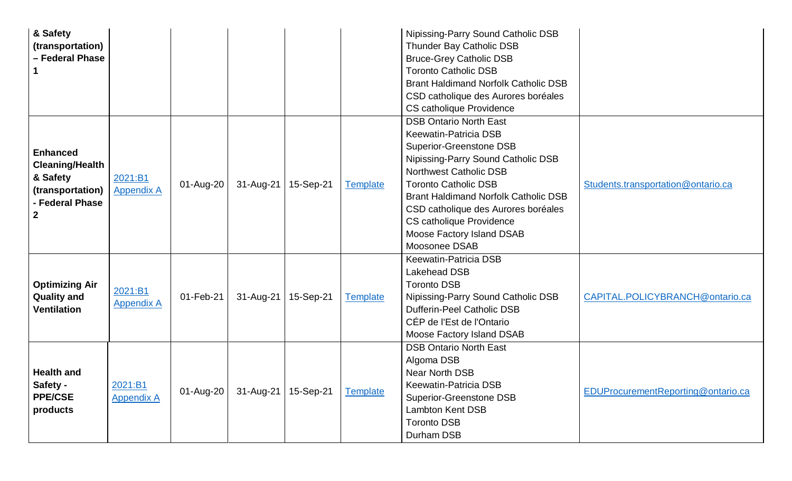| & Safety                            |                              |           |                       |           |                 | Nipissing-Parry Sound Catholic DSB          |                                    |
|-------------------------------------|------------------------------|-----------|-----------------------|-----------|-----------------|---------------------------------------------|------------------------------------|
| (transportation)                    |                              |           |                       |           |                 | Thunder Bay Catholic DSB                    |                                    |
| - Federal Phase                     |                              |           |                       |           |                 | <b>Bruce-Grey Catholic DSB</b>              |                                    |
|                                     |                              |           |                       |           |                 | <b>Toronto Catholic DSB</b>                 |                                    |
|                                     |                              |           |                       |           |                 | <b>Brant Haldimand Norfolk Catholic DSB</b> |                                    |
|                                     |                              |           |                       |           |                 | CSD catholique des Aurores boréales         |                                    |
|                                     |                              |           |                       |           |                 | CS catholique Providence                    |                                    |
|                                     |                              |           |                       |           |                 | <b>DSB Ontario North East</b>               |                                    |
|                                     |                              |           |                       |           |                 | <b>Keewatin-Patricia DSB</b>                |                                    |
| <b>Enhanced</b>                     |                              |           |                       |           |                 | <b>Superior-Greenstone DSB</b>              |                                    |
|                                     |                              |           |                       |           |                 | Nipissing-Parry Sound Catholic DSB          |                                    |
| <b>Cleaning/Health</b><br>& Safety  |                              |           |                       |           |                 | <b>Northwest Catholic DSB</b>               |                                    |
|                                     | 2021:B1<br><b>Appendix A</b> | 01-Aug-20 | $31$ -Aug-21          | 15-Sep-21 | <b>Template</b> | <b>Toronto Catholic DSB</b>                 | Students.transportation@ontario.ca |
| (transportation)<br>- Federal Phase |                              |           |                       |           |                 | <b>Brant Haldimand Norfolk Catholic DSB</b> |                                    |
| $\mathbf{2}$                        |                              |           |                       |           |                 | CSD catholique des Aurores boréales         |                                    |
|                                     |                              |           |                       |           |                 | <b>CS catholique Providence</b>             |                                    |
|                                     |                              |           |                       |           |                 | Moose Factory Island DSAB                   |                                    |
|                                     |                              |           |                       |           |                 | Moosonee DSAB                               |                                    |
|                                     |                              |           |                       |           |                 | <b>Keewatin-Patricia DSB</b>                |                                    |
|                                     |                              |           |                       |           |                 | <b>Lakehead DSB</b>                         |                                    |
| <b>Optimizing Air</b>               | 2021:B1                      |           |                       |           |                 | <b>Toronto DSB</b>                          |                                    |
| <b>Quality and</b>                  | <b>Appendix A</b>            | 01-Feb-21 | $31-Aug-21$           | 15-Sep-21 | <b>Template</b> | Nipissing-Parry Sound Catholic DSB          | CAPITAL.POLICYBRANCH@ontario.ca    |
| <b>Ventilation</b>                  |                              |           |                       |           |                 | Dufferin-Peel Catholic DSB                  |                                    |
|                                     |                              |           |                       |           |                 | CÉP de l'Est de l'Ontario                   |                                    |
|                                     |                              |           |                       |           |                 | Moose Factory Island DSAB                   |                                    |
|                                     |                              |           |                       |           |                 | <b>DSB Ontario North East</b>               |                                    |
|                                     |                              |           |                       |           |                 | Algoma DSB                                  |                                    |
| <b>Health and</b>                   |                              |           |                       |           |                 | <b>Near North DSB</b>                       |                                    |
| Safety -                            | 2021:B1                      | 01-Aug-20 | 31-Aug-21   15-Sep-21 |           | <b>Template</b> | <b>Keewatin-Patricia DSB</b>                | EDUProcurementReporting@ontario.ca |
| <b>PPE/CSE</b>                      | <b>Appendix A</b>            |           |                       |           |                 | <b>Superior-Greenstone DSB</b>              |                                    |
| products                            |                              |           |                       |           |                 | <b>Lambton Kent DSB</b>                     |                                    |
|                                     |                              |           |                       |           |                 | <b>Toronto DSB</b>                          |                                    |
|                                     |                              |           |                       |           |                 | Durham DSB                                  |                                    |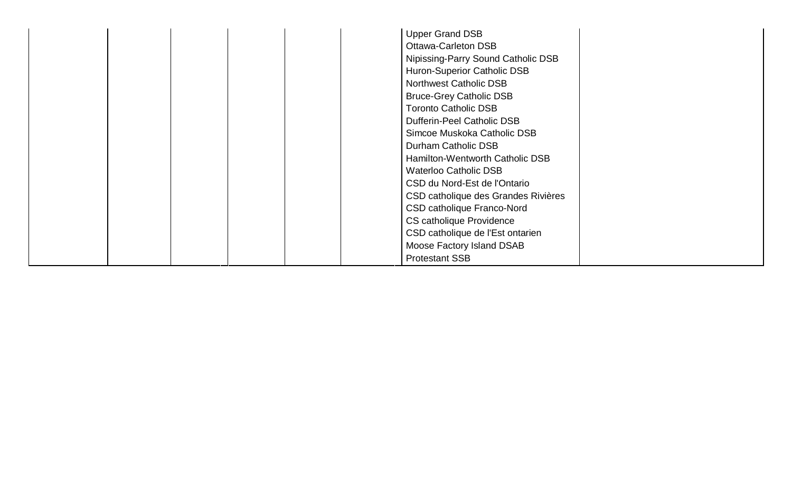| <b>Upper Grand DSB</b>              |
|-------------------------------------|
| <b>Ottawa-Carleton DSB</b>          |
| Nipissing-Parry Sound Catholic DSB  |
| Huron-Superior Catholic DSB         |
|                                     |
| <b>Northwest Catholic DSB</b>       |
| <b>Bruce-Grey Catholic DSB</b>      |
| <b>Toronto Catholic DSB</b>         |
| <b>Dufferin-Peel Catholic DSB</b>   |
| Simcoe Muskoka Catholic DSB         |
| Durham Catholic DSB                 |
| Hamilton-Wentworth Catholic DSB     |
| <b>Waterloo Catholic DSB</b>        |
| CSD du Nord-Est de l'Ontario        |
| CSD catholique des Grandes Rivières |
| CSD catholique Franco-Nord          |
| CS catholique Providence            |
| CSD catholique de l'Est ontarien    |
| Moose Factory Island DSAB           |
| <b>Protestant SSB</b>               |